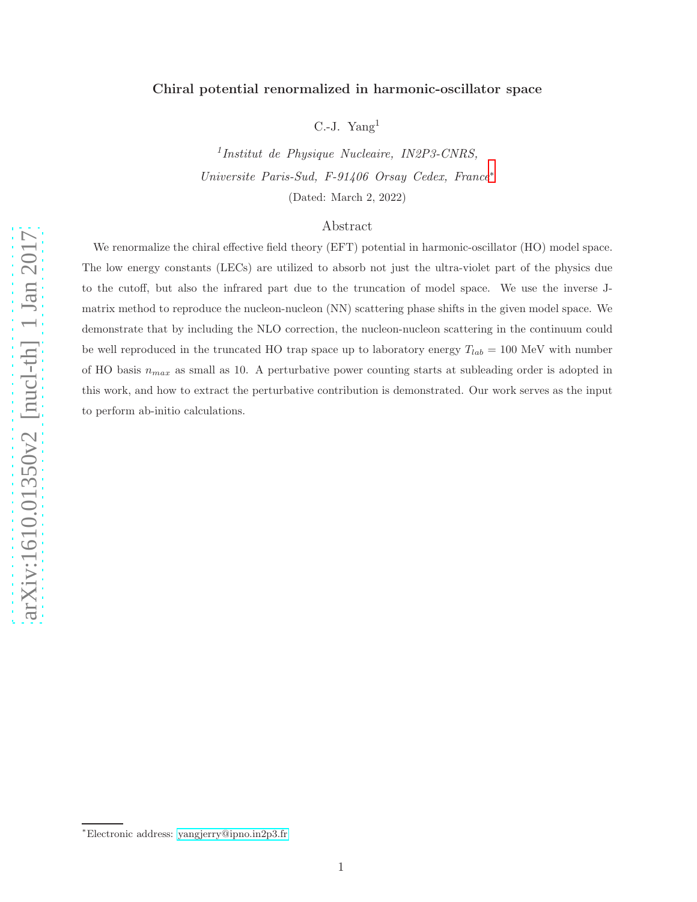# Chiral potential renormalized in harmonic-oscillator space

C.-J. Yang 1

1 Institut de Physique Nucleaire, IN2P3-CNRS, Universite Paris-Sud, F-91406 Orsay Cedex, France [∗](#page-0-0) (Dated: March 2, 2022)

# Abstract

We renormalize the chiral effective field theory (EFT) potential in harmonic-oscillator (HO) model space. The low energy constants (LECs) are utilized to absorb not just the ultra-violet part of the physics due to the cutoff, but also the infrared part due to the truncation of model space. We use the inverse Jmatrix method to reproduce the nucleon-nucleon (NN) scattering phase shifts in the given model space. We demonstrate that by including the NLO correction, the nucleon-nucleon scattering in the continuum could be well reproduced in the truncated HO trap space up to laboratory energy  $T_{lab} = 100 \text{ MeV}$  with number of HO basis  $n_{max}$  as small as 10. A perturbative power counting starts at subleading order is adopted in this work, and how to extract the perturbative contribution is demonstrated. Our work serves as the input to perform ab-initio calculations.

<span id="page-0-0"></span><sup>∗</sup>Electronic address: [yangjerry@ipno.in2p3.fr](mailto:yangjerry@ipno.in2p3.fr)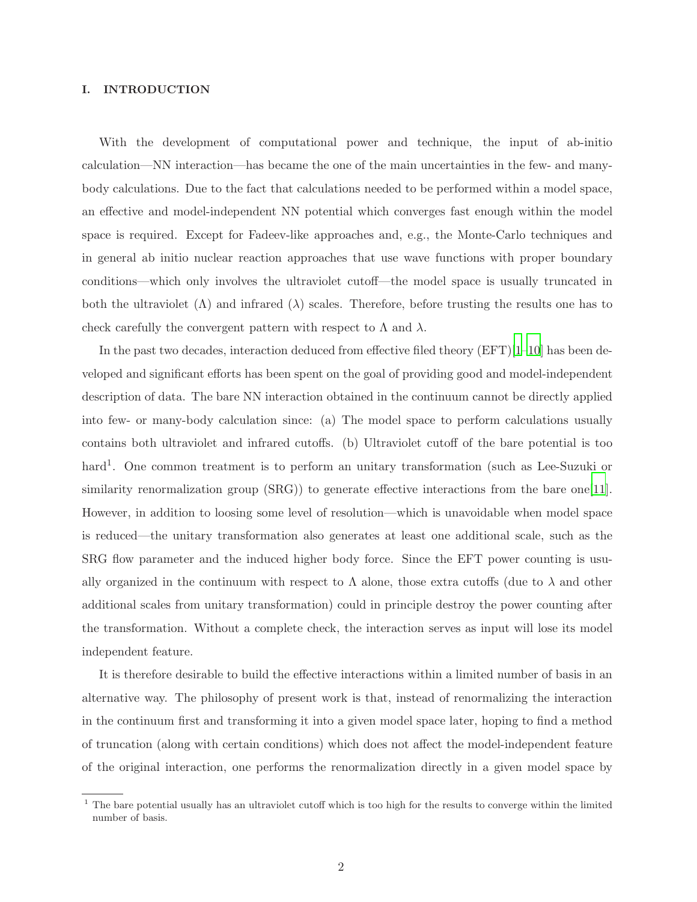### I. INTRODUCTION

With the development of computational power and technique, the input of ab-initio calculation—NN interaction—has became the one of the main uncertainties in the few- and manybody calculations. Due to the fact that calculations needed to be performed within a model space, an effective and model-independent NN potential which converges fast enough within the model space is required. Except for Fadeev-like approaches and, e.g., the Monte-Carlo techniques and in general ab initio nuclear reaction approaches that use wave functions with proper boundary conditions—which only involves the ultraviolet cutoff—the model space is usually truncated in both the ultraviolet  $(\Lambda)$  and infrared  $(\lambda)$  scales. Therefore, before trusting the results one has to check carefully the convergent pattern with respect to  $\Lambda$  and  $\lambda$ .

In the past two decades, interaction deduced from effective filed theory (EFT)[\[1](#page-11-0)[–10\]](#page-12-0) has been developed and significant efforts has been spent on the goal of providing good and model-independent description of data. The bare NN interaction obtained in the continuum cannot be directly applied into few- or many-body calculation since: (a) The model space to perform calculations usually contains both ultraviolet and infrared cutoffs. (b) Ultraviolet cutoff of the bare potential is too hard<sup>1</sup>. One common treatment is to perform an unitary transformation (such as Lee-Suzuki or similarity renormalization group (SRG)) to generate effective interactions from the bare one[\[11](#page-12-1)]. However, in addition to loosing some level of resolution—which is unavoidable when model space is reduced—the unitary transformation also generates at least one additional scale, such as the SRG flow parameter and the induced higher body force. Since the EFT power counting is usually organized in the continuum with respect to  $\Lambda$  alone, those extra cutoffs (due to  $\lambda$  and other additional scales from unitary transformation) could in principle destroy the power counting after the transformation. Without a complete check, the interaction serves as input will lose its model independent feature.

It is therefore desirable to build the effective interactions within a limited number of basis in an alternative way. The philosophy of present work is that, instead of renormalizing the interaction in the continuum first and transforming it into a given model space later, hoping to find a method of truncation (along with certain conditions) which does not affect the model-independent feature of the original interaction, one performs the renormalization directly in a given model space by

<sup>&</sup>lt;sup>1</sup> The bare potential usually has an ultraviolet cutoff which is too high for the results to converge within the limited number of basis.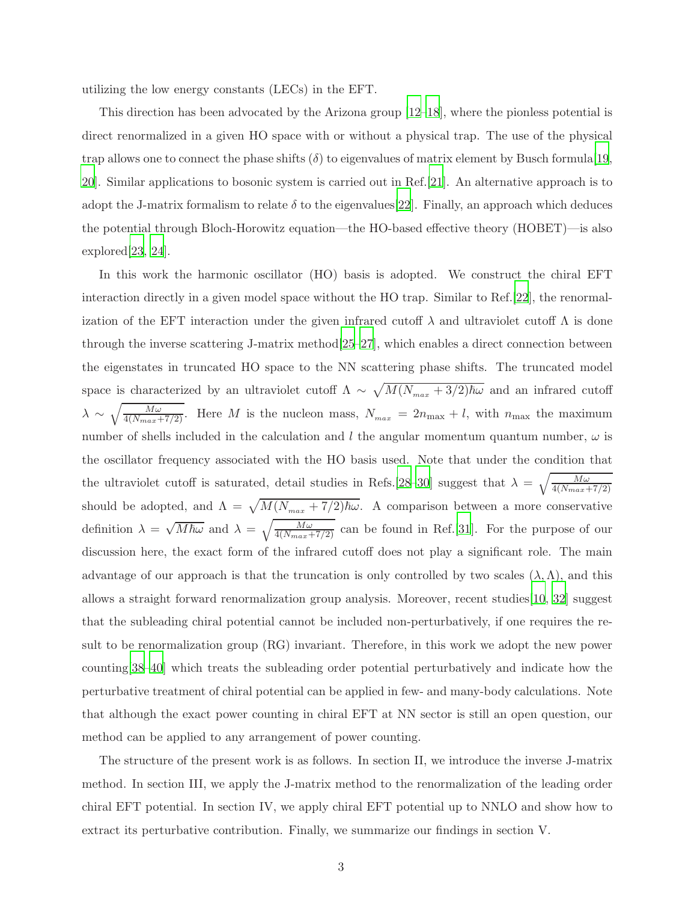utilizing the low energy constants (LECs) in the EFT.

This direction has been advocated by the Arizona group [\[12](#page-12-2)[–18](#page-12-3)], where the pionless potential is direct renormalized in a given HO space with or without a physical trap. The use of the physical trap allows one to connect the phase shifts  $(\delta)$  to eigenvalues of matrix element by Busch formula [\[19](#page-12-4), [20\]](#page-12-5). Similar applications to bosonic system is carried out in Ref.[\[21](#page-12-6)]. An alternative approach is to adopt the J-matrix formalism to relate  $\delta$  to the eigenvalues [\[22](#page-12-7)]. Finally, an approach which deduces the potential through Bloch-Horowitz equation—the HO-based effective theory (HOBET)—is also explored[\[23](#page-12-8), [24\]](#page-12-9).

In this work the harmonic oscillator (HO) basis is adopted. We construct the chiral EFT interaction directly in a given model space without the HO trap. Similar to Ref.[\[22](#page-12-7)], the renormalization of the EFT interaction under the given infrared cutoff  $\lambda$  and ultraviolet cutoff  $\Lambda$  is done through the inverse scattering J-matrix method[\[25](#page-12-10)[–27\]](#page-12-11), which enables a direct connection between the eigenstates in truncated HO space to the NN scattering phase shifts. The truncated model space is characterized by an ultraviolet cutoff  $\Lambda \sim \sqrt{M(N_{max} + 3/2)\hbar\omega}$  and an infrared cutoff  $\lambda \sim \sqrt{\frac{M\omega}{4(N_{max}+7/2)}}$ . Here M is the nucleon mass,  $N_{max} = 2n_{max} + l$ , with  $n_{max}$  the maximum number of shells included in the calculation and l the angular momentum quantum number,  $\omega$  is the oscillator frequency associated with the HO basis used. Note that under the condition that the ultraviolet cutoff is saturated, detail studies in Refs.[\[28](#page-12-12)[–30](#page-12-13)] suggest that  $\lambda = \sqrt{\frac{M\omega}{4(N_{max}+7/2)}}$ should be adopted, and  $\Lambda = \sqrt{M(N_{max} + 7/2)\hbar\omega}$ . A comparison between a more conservative definition  $\lambda = \sqrt{M\hbar\omega}$  and  $\lambda = \sqrt{\frac{M\omega}{4(N_{max}+7/2)}}$  can be found in Ref.[\[31\]](#page-12-14). For the purpose of our discussion here, the exact form of the infrared cutoff does not play a significant role. The main advantage of our approach is that the truncation is only controlled by two scales  $(\lambda, \Lambda)$ , and this allows a straight forward renormalization group analysis. Moreover, recent studies[\[10](#page-12-0), [32\]](#page-13-0) suggest that the subleading chiral potential cannot be included non-perturbatively, if one requires the result to be renormalization group (RG) invariant. Therefore, in this work we adopt the new power counting[\[38](#page-13-1)[–40](#page-13-2)] which treats the subleading order potential perturbatively and indicate how the perturbative treatment of chiral potential can be applied in few- and many-body calculations. Note that although the exact power counting in chiral EFT at NN sector is still an open question, our method can be applied to any arrangement of power counting.

The structure of the present work is as follows. In section II, we introduce the inverse J-matrix method. In section III, we apply the J-matrix method to the renormalization of the leading order chiral EFT potential. In section IV, we apply chiral EFT potential up to NNLO and show how to extract its perturbative contribution. Finally, we summarize our findings in section V.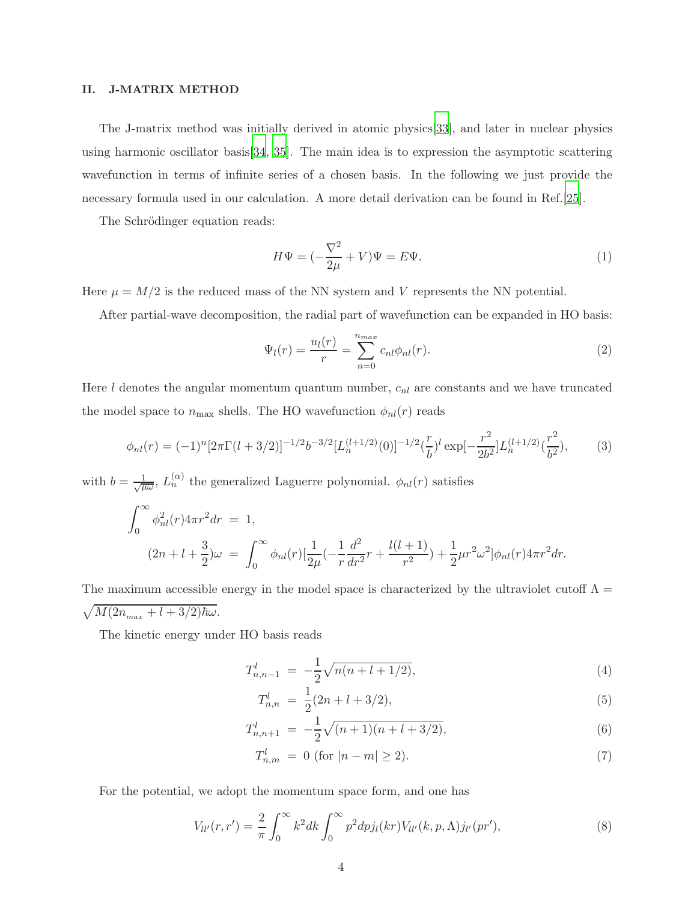#### II. J-MATRIX METHOD

The J-matrix method was initially derived in atomic physics[\[33](#page-13-3)], and later in nuclear physics using harmonic oscillator basis[\[34](#page-13-4), [35](#page-13-5)]. The main idea is to expression the asymptotic scattering wavefunction in terms of infinite series of a chosen basis. In the following we just provide the necessary formula used in our calculation. A more detail derivation can be found in Ref.[\[25\]](#page-12-10).

The Schrödinger equation reads:

$$
H\Psi = \left(-\frac{\nabla^2}{2\mu} + V\right)\Psi = E\Psi.
$$
\n<sup>(1)</sup>

Here  $\mu = M/2$  is the reduced mass of the NN system and V represents the NN potential.

After partial-wave decomposition, the radial part of wavefunction can be expanded in HO basis:

$$
\Psi_l(r) = \frac{u_l(r)}{r} = \sum_{n=0}^{n_{max}} c_{nl} \phi_{nl}(r).
$$
\n(2)

Here  $l$  denotes the angular momentum quantum number,  $c_{nl}$  are constants and we have truncated the model space to  $n_{\text{max}}$  shells. The HO wavefunction  $\phi_{nl}(r)$  reads

$$
\phi_{nl}(r) = (-1)^n [2\pi \Gamma(l+3/2)]^{-1/2} b^{-3/2} [L_n^{(l+1/2)}(0)]^{-1/2} \left(\frac{r}{b}\right)^l \exp\left[-\frac{r^2}{2b^2}\right] L_n^{(l+1/2)}\left(\frac{r^2}{b^2}\right),\tag{3}
$$

with  $b = \frac{1}{\sqrt{a}}$  $\frac{1}{\mu\omega}$ ,  $L_n^{(\alpha)}$  the generalized Laguerre polynomial.  $\phi_{nl}(r)$  satisfies

$$
\int_0^\infty \phi_{nl}^2(r) 4\pi r^2 dr = 1,
$$
  
\n
$$
(2n + l + \frac{3}{2})\omega = \int_0^\infty \phi_{nl}(r) \left[ \frac{1}{2\mu} \left( -\frac{1}{r} \frac{d^2}{dr^2} r + \frac{l(l+1)}{r^2} \right) + \frac{1}{2} \mu r^2 \omega^2 \right] \phi_{nl}(r) 4\pi r^2 dr.
$$

The maximum accessible energy in the model space is characterized by the ultraviolet cutoff  $\Lambda =$  $\sqrt{M(2n_{max} + l + 3/2)\hbar\omega}.$ 

The kinetic energy under HO basis reads

$$
T_{n,n-1}^l = -\frac{1}{2}\sqrt{n(n+l+1/2)},\tag{4}
$$

$$
T_{n,n}^l = \frac{1}{2}(2n + l + 3/2),\tag{5}
$$

$$
T_{n,n+1}^l = -\frac{1}{2}\sqrt{(n+1)(n+l+3/2)},\tag{6}
$$

$$
T_{n,m}^l = 0 \text{ (for } |n-m| \ge 2). \tag{7}
$$

For the potential, we adopt the momentum space form, and one has

$$
V_{ll'}(r,r') = \frac{2}{\pi} \int_0^\infty k^2 dk \int_0^\infty p^2 dp j_l(kr) V_{ll'}(k,p,\Lambda) j_{l'}(pr'),\tag{8}
$$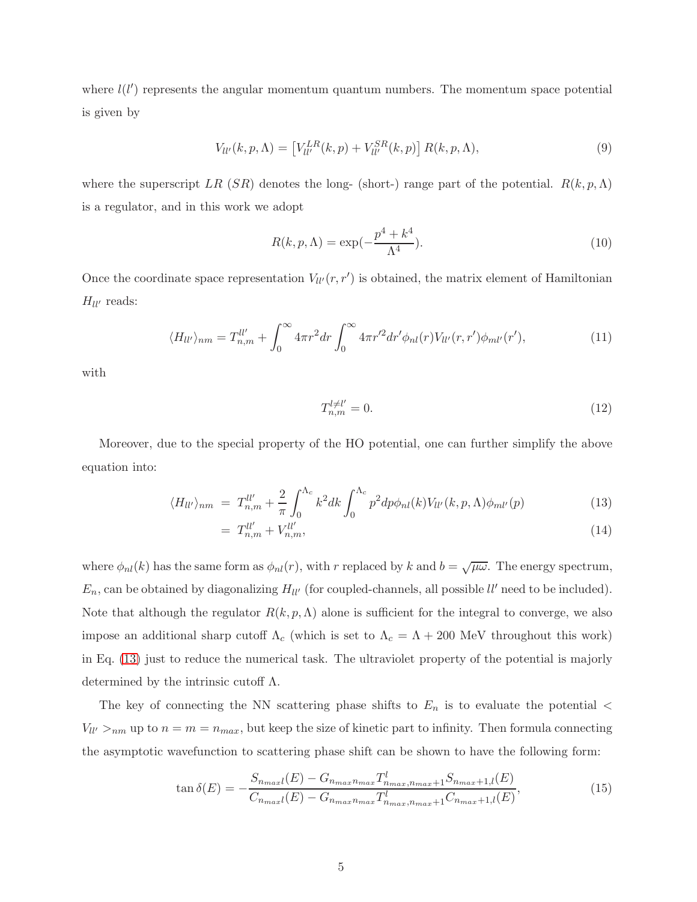where  $l(l')$  represents the angular momentum quantum numbers. The momentum space potential is given by

<span id="page-4-2"></span>
$$
V_{ll'}(k, p, \Lambda) = \left[V_{ll'}^{LR}(k, p) + V_{ll'}^{SR}(k, p)\right] R(k, p, \Lambda),\tag{9}
$$

where the superscript LR (SR) denotes the long- (short-) range part of the potential.  $R(k, p, \Lambda)$ is a regulator, and in this work we adopt

$$
R(k, p, \Lambda) = \exp\left(-\frac{p^4 + k^4}{\Lambda^4}\right). \tag{10}
$$

Once the coordinate space representation  $V_{ll'}(r,r')$  is obtained, the matrix element of Hamiltonian  $H_{ll'}$  reads:

<span id="page-4-3"></span>
$$
\langle H_{ll'} \rangle_{nm} = T_{n,m}^{ll'} + \int_0^\infty 4\pi r^2 dr \int_0^\infty 4\pi r'^2 dr' \phi_{nl}(r) V_{ll'}(r,r') \phi_{ml'}(r'), \tag{11}
$$

with

$$
T_{n,m}^{l\neq l'} = 0.\tag{12}
$$

Moreover, due to the special property of the HO potential, one can further simplify the above equation into:

<span id="page-4-0"></span>
$$
\langle H_{ll'} \rangle_{nm} = T_{n,m}^{ll'} + \frac{2}{\pi} \int_0^{\Lambda_c} k^2 dk \int_0^{\Lambda_c} p^2 dp \phi_{nl}(k) V_{ll'}(k, p, \Lambda) \phi_{ml'}(p) \tag{13}
$$

$$
= T_{n,m}^{ll'} + V_{n,m}^{ll'},\tag{14}
$$

where  $\phi_{nl}(k)$  has the same form as  $\phi_{nl}(r)$ , with r replaced by k and  $b = \sqrt{\mu \omega}$ . The energy spectrum,  $E_n$ , can be obtained by diagonalizing  $H_{ll'}$  (for coupled-channels, all possible  $ll'$  need to be included). Note that although the regulator  $R(k, p, \Lambda)$  alone is sufficient for the integral to converge, we also impose an additional sharp cutoff  $\Lambda_c$  (which is set to  $\Lambda_c = \Lambda + 200$  MeV throughout this work) in Eq. [\(13\)](#page-4-0) just to reduce the numerical task. The ultraviolet property of the potential is majorly determined by the intrinsic cutoff  $\Lambda$ .

The key of connecting the NN scattering phase shifts to  $E_n$  is to evaluate the potential  $\lt$  $V_{ll'} >_{nm}$  up to  $n = m = n_{max}$ , but keep the size of kinetic part to infinity. Then formula connecting the asymptotic wavefunction to scattering phase shift can be shown to have the following form:

<span id="page-4-1"></span>
$$
\tan \delta(E) = -\frac{S_{n_{max}l}(E) - G_{n_{max}n_{max}} T_{n_{max}n_{max}+1}^l S_{n_{max}+1,l}(E)}{C_{n_{max}l}(E) - G_{n_{max}n_{max}} T_{n_{max}+1}^l C_{n_{max}+1,l}(E)},
$$
(15)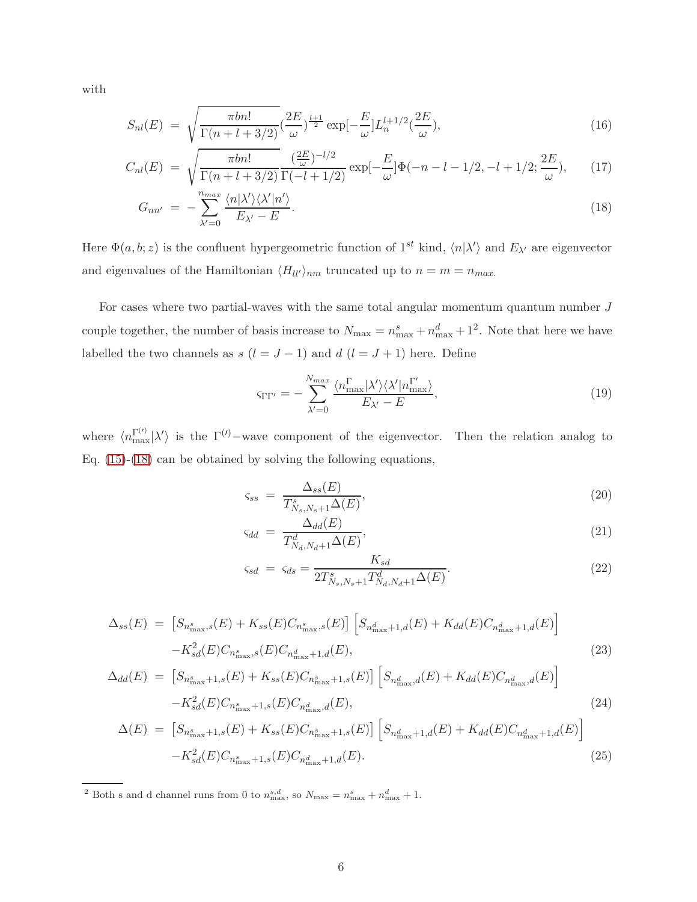with

<span id="page-5-0"></span>
$$
S_{nl}(E) = \sqrt{\frac{\pi b n!}{\Gamma(n+l+3/2)}} \left(\frac{2E}{\omega}\right)^{\frac{l+1}{2}} \exp\left[-\frac{E}{\omega}\right] L_n^{l+1/2} \left(\frac{2E}{\omega}\right),\tag{16}
$$

$$
C_{nl}(E) = \sqrt{\frac{\pi b n!}{\Gamma(n+l+3/2)}} \frac{(\frac{2E}{\omega})^{-l/2}}{\Gamma(-l+1/2)} \exp[-\frac{E}{\omega}]\Phi(-n-l-1/2, -l+1/2; \frac{2E}{\omega}), \quad (17)
$$

$$
G_{nn'} = -\sum_{\lambda'=0}^{n_{max}} \frac{\langle n | \lambda' \rangle \langle \lambda' | n' \rangle}{E_{\lambda'} - E}.
$$
\n(18)

Here  $\Phi(a, b; z)$  is the confluent hypergeometric function of  $1^{st}$  kind,  $\langle n | \lambda' \rangle$  and  $E_{\lambda'}$  are eigenvector and eigenvalues of the Hamiltonian  $\langle H_{ll'} \rangle_{nm}$  truncated up to  $n = m = n_{max}$ .

For cases where two partial-waves with the same total angular momentum quantum number  $J$ couple together, the number of basis increase to  $N_{\text{max}} = n_{\text{max}}^s + n_{\text{max}}^d + 1^2$ . Note that here we have labelled the two channels as  $s$  ( $l = J - 1$ ) and  $d$  ( $l = J + 1$ ) here. Define

<span id="page-5-1"></span>
$$
\text{STr}' = -\sum_{\lambda'=0}^{N_{max}} \frac{\langle n_{\text{max}}^{\Gamma} | \lambda' \rangle \langle \lambda' | n_{\text{max}}^{\Gamma'} \rangle}{E_{\lambda'} - E},\tag{19}
$$

where  $\langle n_{\text{max}}^{\Gamma^{(\prime)}}|\lambda'\rangle$  is the  $\Gamma^{(\prime)}$ -wave component of the eigenvector. Then the relation analog to Eq. [\(15\)](#page-4-1)-[\(18\)](#page-5-0) can be obtained by solving the following equations,

<span id="page-5-2"></span>
$$
\varsigma_{ss} = \frac{\Delta_{ss}(E)}{T_{N_s,N_s+1}^s \Delta(E)},\tag{20}
$$

$$
\varsigma_{dd} = \frac{\Delta_{dd}(E)}{T_{N_d, N_d+1}^d \Delta(E)},\tag{21}
$$

$$
\varsigma_{sd} = \varsigma_{ds} = \frac{K_{sd}}{2T_{N_s, N_s+1}^s T_{N_d, N_d+1}^d \Delta(E)}.
$$
\n(22)

<span id="page-5-3"></span>
$$
\Delta_{ss}(E) = \left[ S_{n_{\text{max}}^s,s}(E) + K_{ss}(E) C_{n_{\text{max}}^s,s}(E) \right] \left[ S_{n_{\text{max}}^d+1,d}(E) + K_{dd}(E) C_{n_{\text{max}}^d+1,d}(E) \right] - K_{sd}^2(E) C_{n_{\text{max}}^s,s}(E) C_{n_{\text{max}}^d+1,d}(E), \tag{23}
$$

$$
\Delta_{dd}(E) = \left[ S_{n_{\text{max}}^s + 1, s}(E) + K_{ss}(E) C_{n_{\text{max}}^s + 1, s}(E) \right] \left[ S_{n_{\text{max}}^d, d}(E) + K_{dd}(E) C_{n_{\text{max}}^d, d}(E) \right] - K_{sd}^2(E) C_{n_{\text{max}}^s + 1, s}(E) C_{n_{\text{max}}^d, d}(E), \tag{24}
$$

$$
\Delta(E) = \left[ S_{n_{\text{max}}^s + 1, s}(E) + K_{ss}(E) C_{n_{\text{max}}^s + 1, s}(E) \right] \left[ S_{n_{\text{max}}^d + 1, d}(E) + K_{dd}(E) C_{n_{\text{max}}^d + 1, d}(E) \right] - K_{sd}^2(E) C_{n_{\text{max}}^s + 1, s}(E) C_{n_{\text{max}}^d + 1, d}(E). \tag{25}
$$

<sup>2</sup> Both s and d channel runs from 0 to  $n_{\text{max}}^{s,d}$ , so  $N_{\text{max}} = n_{\text{max}}^s + n_{\text{max}}^d + 1$ .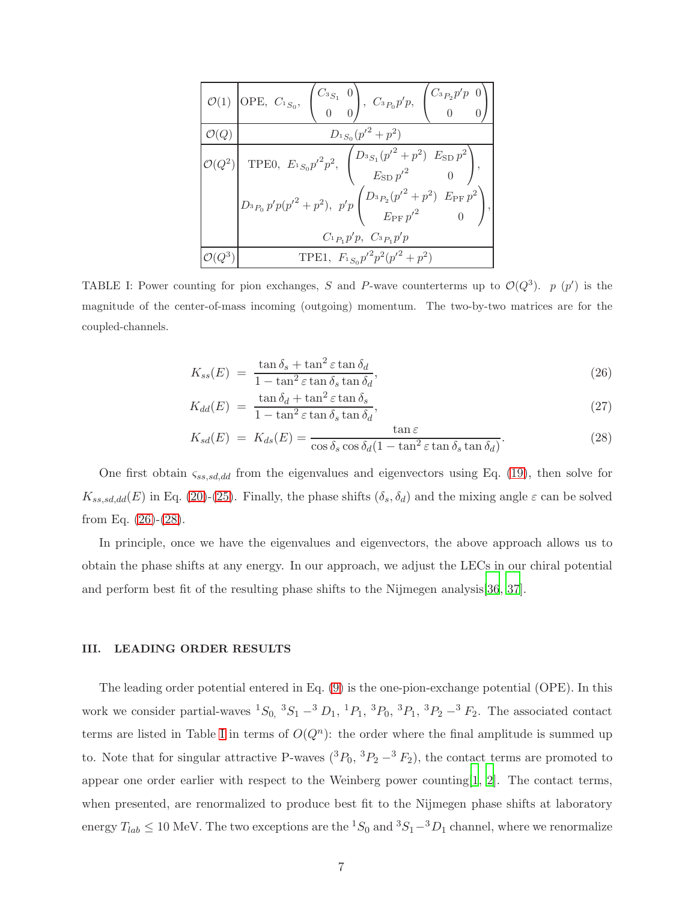|                  | $\mathcal{O}(1)$ OPE, $C_{^1S_0}$ , $\begin{pmatrix} C_{^3S_1} & 0 \\ 0 & 0 \end{pmatrix}$ , $C_{^3P_0}p'p$ , $\begin{pmatrix} C_{^3P_2}p'p & 0 \\ 0 & 0 \end{pmatrix}$                                                                                                                                   |
|------------------|-----------------------------------------------------------------------------------------------------------------------------------------------------------------------------------------------------------------------------------------------------------------------------------------------------------|
| $\mathcal{O}(Q)$ | $D_{^{1}S_{0}}(p'^{2}+p^{2})$                                                                                                                                                                                                                                                                             |
|                  | $D(Q^2)$ TPE0, $E_{^1S_0}p'^2p^2$ , $\begin{pmatrix} D_{^3S_1}(p'^2+p^2) & E_{\text{SD}}p^2 \ E_{\text{SD}}p'^2 & 0 \end{pmatrix}$ ,<br>$\begin{pmatrix} D_{^3P_0} \, p' p (p'^2 + p^2), \, \, p' p \begin{pmatrix} D_{^3P_2} (p'^2 + p^2) & E_{\rm PF} \, p^2 \cr E_{\rm PF} \, p'^2 & 0 \end{pmatrix},$ |
|                  | $C_{^1P_1}p'p, C_{^3P_1}p'p$                                                                                                                                                                                                                                                                              |
|                  | TPE1, $F_{1S_0}p'^2p^2(p'^2+p^2)$                                                                                                                                                                                                                                                                         |

<span id="page-6-1"></span>TABLE I: Power counting for pion exchanges, S and P-wave counterterms up to  $\mathcal{O}(Q^3)$ .  $p(p')$  is the magnitude of the center-of-mass incoming (outgoing) momentum. The two-by-two matrices are for the coupled-channels.

<span id="page-6-0"></span>
$$
K_{ss}(E) = \frac{\tan \delta_s + \tan^2 \varepsilon \tan \delta_d}{1 - \tan^2 \varepsilon \tan \delta_s \tan \delta_d},\tag{26}
$$

$$
K_{dd}(E) = \frac{\tan \delta_d + \tan^2 \varepsilon \tan \delta_s}{1 - \tan^2 \varepsilon \tan \delta_s \tan \delta_d},\tag{27}
$$

$$
K_{sd}(E) = K_{ds}(E) = \frac{\tan \varepsilon}{\cos \delta_s \cos \delta_d (1 - \tan^2 \varepsilon \tan \delta_s \tan \delta_d)}.
$$
 (28)

One first obtain  $\zeta_{ss,sd,dd}$  from the eigenvalues and eigenvectors using Eq. [\(19\)](#page-5-1), then solve for  $K_{ss,sd,dd}(E)$  in Eq. [\(20\)](#page-5-2)-[\(25\)](#page-5-3). Finally, the phase shifts  $(\delta_s, \delta_d)$  and the mixing angle  $\varepsilon$  can be solved from Eq.  $(26)-(28)$  $(26)-(28)$ .

In principle, once we have the eigenvalues and eigenvectors, the above approach allows us to obtain the phase shifts at any energy. In our approach, we adjust the LECs in our chiral potential and perform best fit of the resulting phase shifts to the Nijmegen analysis[\[36](#page-13-6), [37\]](#page-13-7).

# III. LEADING ORDER RESULTS

The leading order potential entered in Eq. [\(9\)](#page-4-2) is the one-pion-exchange potential (OPE). In this work we consider partial-waves  ${}^{1}S_{0}$ ,  ${}^{3}S_{1}$  –  ${}^{3}D_{1}$ ,  ${}^{1}P_{1}$ ,  ${}^{3}P_{0}$ ,  ${}^{3}P_{1}$ ,  ${}^{3}P_{2}$  –  ${}^{3}F_{2}$ . The associated contact terms are listed in Table [I](#page-6-1) in terms of  $O(Q^n)$ : the order where the final amplitude is summed up to. Note that for singular attractive P-waves  $({}^3P_0, {}^3P_2 - {}^3F_2)$ , the contact terms are promoted to appear one order earlier with respect to the Weinberg power counting[\[1](#page-11-0), [2](#page-11-1)]. The contact terms, when presented, are renormalized to produce best fit to the Nijmegen phase shifts at laboratory energy  $T_{lab} \le 10$  MeV. The two exceptions are the  ${}^{1}S_0$  and  ${}^{3}S_1-{}^{3}D_1$  channel, where we renormalize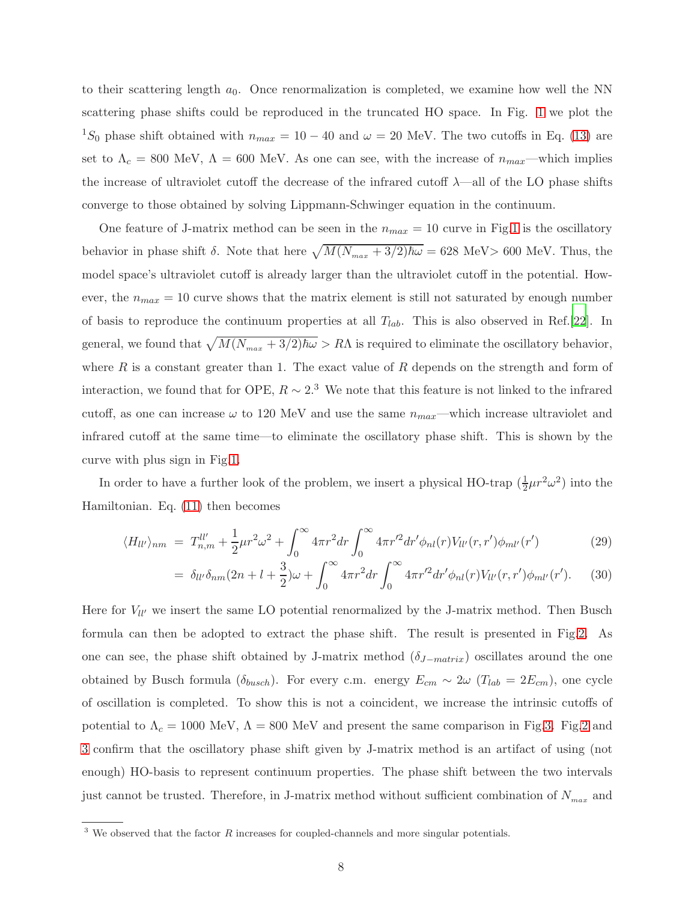to their scattering length  $a_0$ . Once renormalization is completed, we examine how well the NN scattering phase shifts could be reproduced in the truncated HO space. In Fig. [1](#page-13-8) we plot the <sup>1</sup>S<sub>0</sub> phase shift obtained with  $n_{max} = 10 - 40$  and  $\omega = 20$  MeV. The two cutoffs in Eq. [\(13\)](#page-4-0) are set to  $\Lambda_c = 800$  MeV,  $\Lambda = 600$  MeV. As one can see, with the increase of  $n_{max}$ —which implies the increase of ultraviolet cutoff the decrease of the infrared cutoff  $\lambda$ —all of the LO phase shifts converge to those obtained by solving Lippmann-Schwinger equation in the continuum.

One feature of J-matrix method can be seen in the  $n_{max} = 10$  curve in Fig[.1](#page-13-8) is the oscillatory behavior in phase shift  $\delta$ . Note that here  $\sqrt{M(N_{max} + 3/2)\hbar\omega} = 628$  MeV> 600 MeV. Thus, the model space's ultraviolet cutoff is already larger than the ultraviolet cutoff in the potential. However, the  $n_{max} = 10$  curve shows that the matrix element is still not saturated by enough number of basis to reproduce the continuum properties at all  $T_{lab}$ . This is also observed in Ref.[\[22](#page-12-7)]. In general, we found that  $\sqrt{M(N_{max} + 3/2)\hbar\omega} > R\Lambda$  is required to eliminate the oscillatory behavior, where  $R$  is a constant greater than 1. The exact value of  $R$  depends on the strength and form of interaction, we found that for OPE,  $R \sim 2.3$  We note that this feature is not linked to the infrared cutoff, as one can increase  $\omega$  to 120 MeV and use the same  $n_{max}$ —which increase ultraviolet and infrared cutoff at the same time—to eliminate the oscillatory phase shift. This is shown by the curve with plus sign in Fig[.1.](#page-13-8)

In order to have a further look of the problem, we insert a physical HO-trap  $(\frac{1}{2}\mu r^2\omega^2)$  into the Hamiltonian. Eq. [\(11\)](#page-4-3) then becomes

$$
\langle H_{ll'} \rangle_{nm} = T_{n,m}^{ll'} + \frac{1}{2} \mu r^2 \omega^2 + \int_0^\infty 4\pi r^2 dr \int_0^\infty 4\pi r'^2 dr' \phi_{nl}(r) V_{ll'}(r, r') \phi_{ml'}(r') \tag{29}
$$

$$
= \delta_{ll'}\delta_{nm}(2n+l+\frac{3}{2})\omega + \int_0^\infty 4\pi r^2 dr \int_0^\infty 4\pi r'^2 dr' \phi_{nl}(r) V_{ll'}(r,r')\phi_{ml'}(r'). \tag{30}
$$

Here for  $V_{ll'}$  we insert the same LO potential renormalized by the J-matrix method. Then Busch formula can then be adopted to extract the phase shift. The result is presented in Fig[.2.](#page-14-0) As one can see, the phase shift obtained by J-matrix method  $(\delta_{J-matrix})$  oscillates around the one obtained by Busch formula ( $\delta_{busch}$ ). For every c.m. energy  $E_{cm} \sim 2\omega$  ( $T_{lab} = 2E_{cm}$ ), one cycle of oscillation is completed. To show this is not a coincident, we increase the intrinsic cutoffs of potential to  $\Lambda_c = 1000 \text{ MeV}$ ,  $\Lambda = 800 \text{ MeV}$  and present the same comparison in Fig[.3.](#page-14-1) Fig[.2](#page-14-0) and [3](#page-14-1) confirm that the oscillatory phase shift given by J-matrix method is an artifact of using (not enough) HO-basis to represent continuum properties. The phase shift between the two intervals just cannot be trusted. Therefore, in J-matrix method without sufficient combination of  $N_{max}$  and

 $3$  We observed that the factor  $R$  increases for coupled-channels and more singular potentials.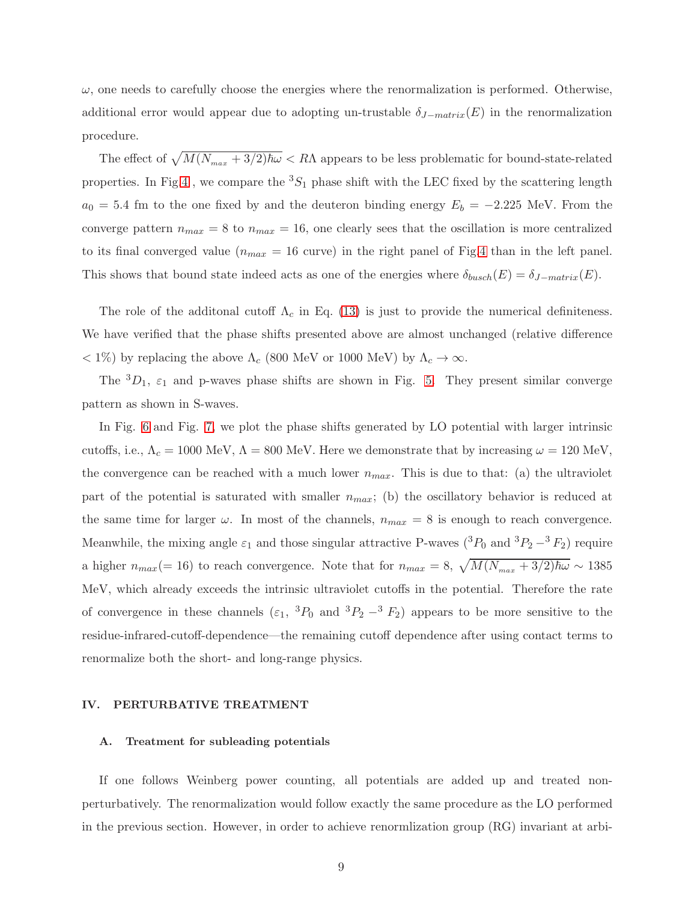$\omega$ , one needs to carefully choose the energies where the renormalization is performed. Otherwise, additional error would appear due to adopting un-trustable  $\delta_{J-matrix}(E)$  in the renormalization procedure.

The effect of  $\sqrt{M(N_{max} + 3/2)\hbar\omega} < R\Lambda$  appears to be less problematic for bound-state-related properties. In Fig[.4](#page-15-0), we compare the  ${}^{3}S_{1}$  phase shift with the LEC fixed by the scattering length  $a_0 = 5.4$  fm to the one fixed by and the deuteron binding energy  $E_b = -2.225$  MeV. From the converge pattern  $n_{max} = 8$  to  $n_{max} = 16$ , one clearly sees that the oscillation is more centralized to its final converged value  $(n_{max} = 16$  curve) in the right panel of Fig[.4](#page-15-0) than in the left panel. This shows that bound state indeed acts as one of the energies where  $\delta_{busch}(E) = \delta_{J-matrix}(E)$ .

The role of the additonal cutoff  $\Lambda_c$  in Eq. [\(13\)](#page-4-0) is just to provide the numerical definiteness. We have verified that the phase shifts presented above are almost unchanged (relative difference  $< 1\%$ ) by replacing the above  $\Lambda_c$  (800 MeV or 1000 MeV) by  $\Lambda_c \to \infty$ .

The  ${}^{3}D_1$ ,  $\varepsilon_1$  and p-waves phase shifts are shown in Fig. [5.](#page-16-0) They present similar converge pattern as shown in S-waves.

In Fig. [6](#page-17-0) and Fig. [7,](#page-18-0) we plot the phase shifts generated by LO potential with larger intrinsic cutoffs, i.e.,  $\Lambda_c = 1000 \text{ MeV}$ ,  $\Lambda = 800 \text{ MeV}$ . Here we demonstrate that by increasing  $\omega = 120 \text{ MeV}$ , the convergence can be reached with a much lower  $n_{max}$ . This is due to that: (a) the ultraviolet part of the potential is saturated with smaller  $n_{max}$ ; (b) the oscillatory behavior is reduced at the same time for larger  $\omega$ . In most of the channels,  $n_{max} = 8$  is enough to reach convergence. Meanwhile, the mixing angle  $\varepsilon_1$  and those singular attractive P-waves  $({}^3P_0$  and  ${}^3P_2-{}^3F_2)$  require a higher  $n_{max} (= 16)$  to reach convergence. Note that for  $n_{max} = 8$ ,  $\sqrt{M(N_{max} + 3/2)\hbar\omega} \sim 1385$ MeV, which already exceeds the intrinsic ultraviolet cutoffs in the potential. Therefore the rate of convergence in these channels  $(\epsilon_1, {}^3P_0$  and  ${}^3P_2 - {}^3F_2)$  appears to be more sensitive to the residue-infrared-cutoff-dependence—the remaining cutoff dependence after using contact terms to renormalize both the short- and long-range physics.

#### IV. PERTURBATIVE TREATMENT

#### A. Treatment for subleading potentials

If one follows Weinberg power counting, all potentials are added up and treated nonperturbatively. The renormalization would follow exactly the same procedure as the LO performed in the previous section. However, in order to achieve renormlization group (RG) invariant at arbi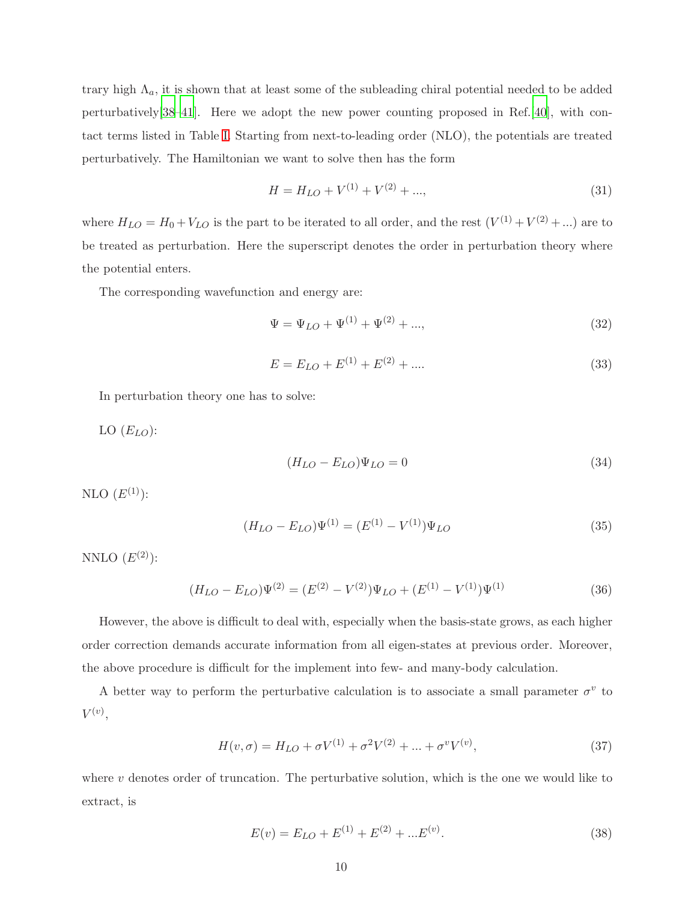trary high  $\Lambda_a$ , it is shown that at least some of the subleading chiral potential needed to be added perturbatively[\[38](#page-13-1)[–41](#page-13-9)]. Here we adopt the new power counting proposed in Ref.[\[40](#page-13-2)], with contact terms listed in Table [I.](#page-6-1) Starting from next-to-leading order (NLO), the potentials are treated perturbatively. The Hamiltonian we want to solve then has the form

$$
H = H_{LO} + V^{(1)} + V^{(2)} + \dots,\tag{31}
$$

where  $H_{LO} = H_0 + V_{LO}$  is the part to be iterated to all order, and the rest  $(V^{(1)} + V^{(2)} + ...)$  are to be treated as perturbation. Here the superscript denotes the order in perturbation theory where the potential enters.

The corresponding wavefunction and energy are:

$$
\Psi = \Psi_{LO} + \Psi^{(1)} + \Psi^{(2)} + ..., \tag{32}
$$

$$
E = E_{LO} + E^{(1)} + E^{(2)} + \dots
$$
\n(33)

In perturbation theory one has to solve:

LO  $(E_{LO})$ :

$$
(H_{LO} - E_{LO})\Psi_{LO} = 0\tag{34}
$$

NLO  $(E^{(1)})$ :

$$
(H_{LO} - E_{LO})\Psi^{(1)} = (E^{(1)} - V^{(1)})\Psi_{LO}
$$
\n(35)

NNLO  $(E^{(2)})$ :

$$
(H_{LO} - E_{LO})\Psi^{(2)} = (E^{(2)} - V^{(2)})\Psi_{LO} + (E^{(1)} - V^{(1)})\Psi^{(1)}
$$
\n(36)

However, the above is difficult to deal with, especially when the basis-state grows, as each higher order correction demands accurate information from all eigen-states at previous order. Moreover, the above procedure is difficult for the implement into few- and many-body calculation.

A better way to perform the perturbative calculation is to associate a small parameter  $\sigma^v$  to  $V^{(v)},$ 

<span id="page-9-0"></span>
$$
H(v, \sigma) = H_{LO} + \sigma V^{(1)} + \sigma^2 V^{(2)} + \dots + \sigma^v V^{(v)},
$$
\n(37)

where  $v$  denotes order of truncation. The perturbative solution, which is the one we would like to extract, is

<span id="page-9-1"></span>
$$
E(v) = E_{LO} + E^{(1)} + E^{(2)} + \dots E^{(v)}.
$$
\n(38)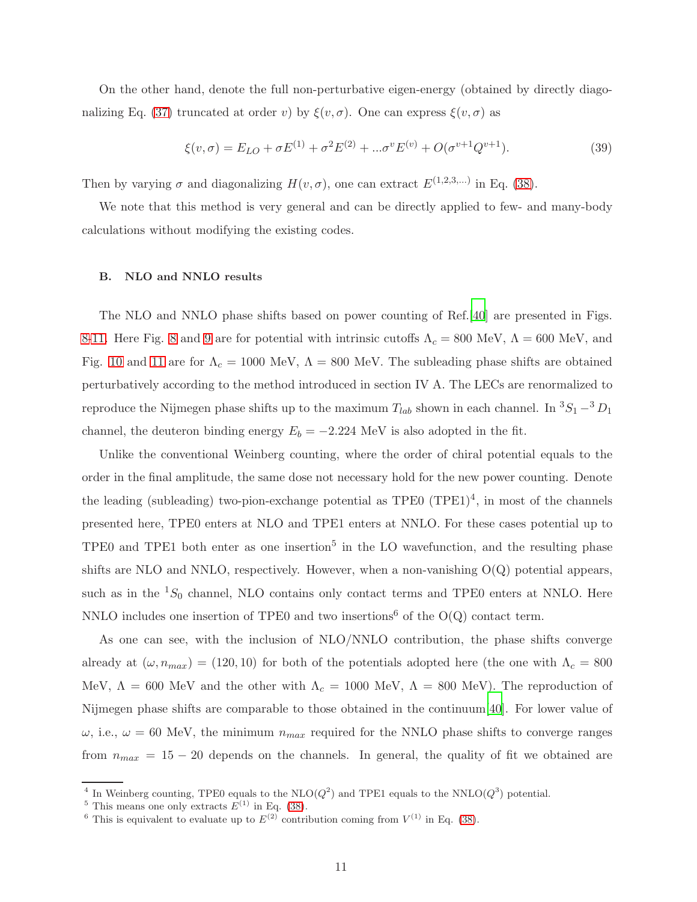On the other hand, denote the full non-perturbative eigen-energy (obtained by directly diago-nalizing Eq. [\(37\)](#page-9-0) truncated at order v) by  $\xi(v, \sigma)$ . One can express  $\xi(v, \sigma)$  as

$$
\xi(v,\sigma) = E_{LO} + \sigma E^{(1)} + \sigma^2 E^{(2)} + \dots \sigma^v E^{(v)} + O(\sigma^{v+1} Q^{v+1}).
$$
\n(39)

Then by varying  $\sigma$  and diagonalizing  $H(v, \sigma)$ , one can extract  $E^{(1,2,3,...)}$  in Eq. [\(38\)](#page-9-1).

We note that this method is very general and can be directly applied to few- and many-body calculations without modifying the existing codes.

# B. NLO and NNLO results

The NLO and NNLO phase shifts based on power counting of Ref.[\[40](#page-13-2)] are presented in Figs. [8](#page-19-0)[-11.](#page-22-0) Here Fig. [8](#page-19-0) and [9](#page-20-0) are for potential with intrinsic cutoffs  $\Lambda_c = 800$  MeV,  $\Lambda = 600$  MeV, and Fig. [10](#page-21-0) and [11](#page-22-0) are for  $\Lambda_c = 1000$  MeV,  $\Lambda = 800$  MeV. The subleading phase shifts are obtained perturbatively according to the method introduced in section IV A. The LECs are renormalized to reproduce the Nijmegen phase shifts up to the maximum  $T_{lab}$  shown in each channel. In  ${}^{3}S_{1} - {}^{3}D_{1}$ channel, the deuteron binding energy  $E_b = -2.224$  MeV is also adopted in the fit.

Unlike the conventional Weinberg counting, where the order of chiral potential equals to the order in the final amplitude, the same dose not necessary hold for the new power counting. Denote the leading (subleading) two-pion-exchange potential as  $TPE0 (TPE1)<sup>4</sup>$ , in most of the channels presented here, TPE0 enters at NLO and TPE1 enters at NNLO. For these cases potential up to TPE0 and TPE1 both enter as one insertion<sup>5</sup> in the LO wavefunction, and the resulting phase shifts are NLO and NNLO, respectively. However, when a non-vanishing  $O(Q)$  potential appears, such as in the  ${}^{1}S_{0}$  channel, NLO contains only contact terms and TPE0 enters at NNLO. Here NNLO includes one insertion of TPE0 and two insertions<sup>6</sup> of the  $O(Q)$  contact term.

As one can see, with the inclusion of NLO/NNLO contribution, the phase shifts converge already at  $(\omega, n_{max}) = (120, 10)$  for both of the potentials adopted here (the one with  $\Lambda_c = 800$ MeV,  $\Lambda = 600$  MeV and the other with  $\Lambda_c = 1000$  MeV,  $\Lambda = 800$  MeV). The reproduction of Nijmegen phase shifts are comparable to those obtained in the continuum[\[40\]](#page-13-2). For lower value of  $\omega$ , i.e.,  $\omega = 60$  MeV, the minimum  $n_{max}$  required for the NNLO phase shifts to converge ranges from  $n_{max} = 15 - 20$  depends on the channels. In general, the quality of fit we obtained are

<sup>&</sup>lt;sup>4</sup> In Weinberg counting, TPE0 equals to the NLO( $Q^2$ ) and TPE1 equals to the NNLO( $Q^3$ ) potential.

<sup>&</sup>lt;sup>5</sup> This means one only extracts  $E^{(1)}$  in Eq. [\(38\)](#page-9-1).

<sup>&</sup>lt;sup>6</sup> This is equivalent to evaluate up to  $E^{(2)}$  contribution coming from  $V^{(1)}$  in Eq. [\(38\)](#page-9-1).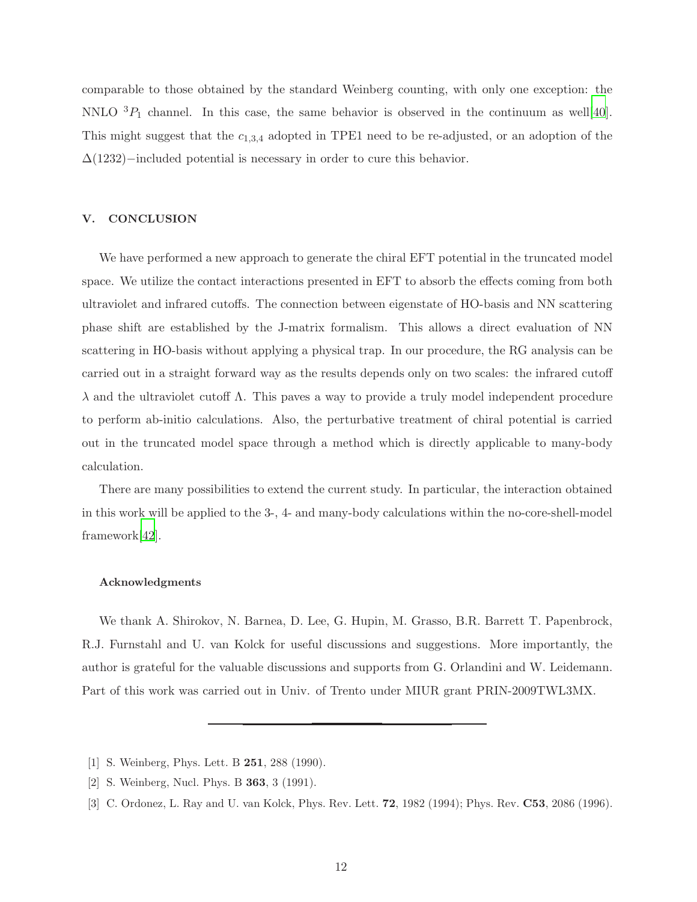comparable to those obtained by the standard Weinberg counting, with only one exception: the NNLO  ${}^{3}P_{1}$  channel. In this case, the same behavior is observed in the continuum as well[\[40](#page-13-2)]. This might suggest that the  $c_{1,3,4}$  adopted in TPE1 need to be re-adjusted, or an adoption of the  $\Delta(1232)$ −included potential is necessary in order to cure this behavior.

# V. CONCLUSION

We have performed a new approach to generate the chiral EFT potential in the truncated model space. We utilize the contact interactions presented in EFT to absorb the effects coming from both ultraviolet and infrared cutoffs. The connection between eigenstate of HO-basis and NN scattering phase shift are established by the J-matrix formalism. This allows a direct evaluation of NN scattering in HO-basis without applying a physical trap. In our procedure, the RG analysis can be carried out in a straight forward way as the results depends only on two scales: the infrared cutoff λ and the ultraviolet cutoff Λ. This paves a way to provide a truly model independent procedure to perform ab-initio calculations. Also, the perturbative treatment of chiral potential is carried out in the truncated model space through a method which is directly applicable to many-body calculation.

There are many possibilities to extend the current study. In particular, the interaction obtained in this work will be applied to the 3-, 4- and many-body calculations within the no-core-shell-model framework[\[42\]](#page-13-10).

# Acknowledgments

We thank A. Shirokov, N. Barnea, D. Lee, G. Hupin, M. Grasso, B.R. Barrett T. Papenbrock, R.J. Furnstahl and U. van Kolck for useful discussions and suggestions. More importantly, the author is grateful for the valuable discussions and supports from G. Orlandini and W. Leidemann. Part of this work was carried out in Univ. of Trento under MIUR grant PRIN-2009TWL3MX.

- <span id="page-11-0"></span>[1] S. Weinberg, Phys. Lett. B 251, 288 (1990).
- <span id="page-11-1"></span>[2] S. Weinberg, Nucl. Phys. B 363, 3 (1991).
- [3] C. Ordonez, L. Ray and U. van Kolck, Phys. Rev. Lett. 72, 1982 (1994); Phys. Rev. C53, 2086 (1996).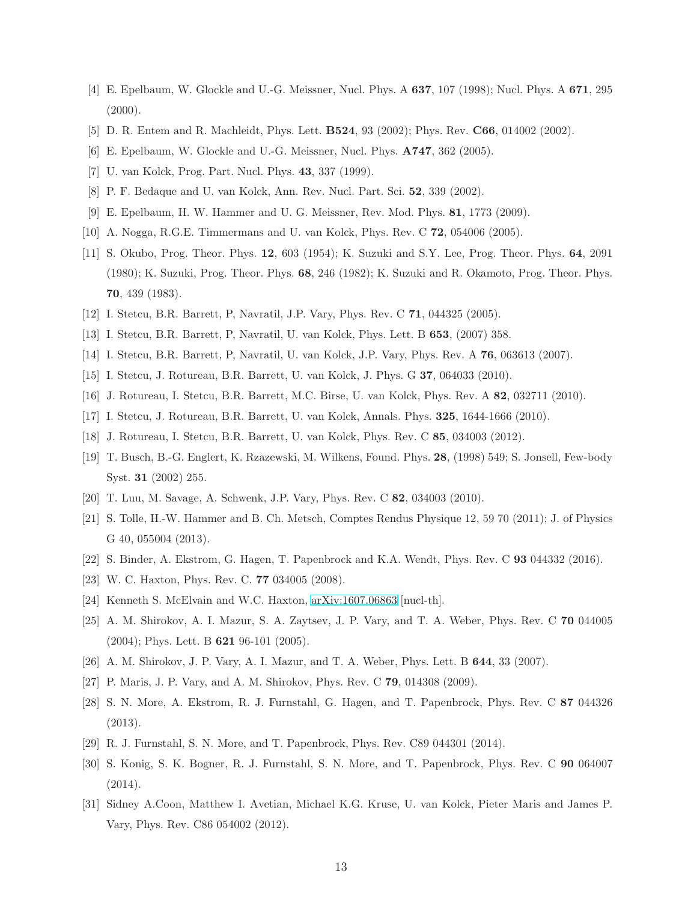- [4] E. Epelbaum, W. Glockle and U.-G. Meissner, Nucl. Phys. A 637, 107 (1998); Nucl. Phys. A 671, 295  $(2000).$
- [5] D. R. Entem and R. Machleidt, Phys. Lett. **B524**, 93 (2002); Phys. Rev. **C66**, 014002 (2002).
- [6] E. Epelbaum, W. Glockle and U.-G. Meissner, Nucl. Phys. A747, 362 (2005).
- [7] U. van Kolck, Prog. Part. Nucl. Phys. 43, 337 (1999).
- [8] P. F. Bedaque and U. van Kolck, Ann. Rev. Nucl. Part. Sci. 52, 339 (2002).
- [9] E. Epelbaum, H. W. Hammer and U. G. Meissner, Rev. Mod. Phys. 81, 1773 (2009).
- <span id="page-12-0"></span>[10] A. Nogga, R.G.E. Timmermans and U. van Kolck, Phys. Rev. C 72, 054006 (2005).
- <span id="page-12-1"></span>[11] S. Okubo, Prog. Theor. Phys. 12, 603 (1954); K. Suzuki and S.Y. Lee, Prog. Theor. Phys. 64, 2091 (1980); K. Suzuki, Prog. Theor. Phys. 68, 246 (1982); K. Suzuki and R. Okamoto, Prog. Theor. Phys. 70, 439 (1983).
- <span id="page-12-2"></span>[12] I. Stetcu, B.R. Barrett, P, Navratil, J.P. Vary, Phys. Rev. C 71, 044325 (2005).
- [13] I. Stetcu, B.R. Barrett, P, Navratil, U. van Kolck, Phys. Lett. B 653, (2007) 358.
- [14] I. Stetcu, B.R. Barrett, P, Navratil, U. van Kolck, J.P. Vary, Phys. Rev. A 76, 063613 (2007).
- [15] I. Stetcu, J. Rotureau, B.R. Barrett, U. van Kolck, J. Phys. G 37, 064033 (2010).
- [16] J. Rotureau, I. Stetcu, B.R. Barrett, M.C. Birse, U. van Kolck, Phys. Rev. A 82, 032711 (2010).
- [17] I. Stetcu, J. Rotureau, B.R. Barrett, U. van Kolck, Annals. Phys. 325, 1644-1666 (2010).
- <span id="page-12-3"></span>[18] J. Rotureau, I. Stetcu, B.R. Barrett, U. van Kolck, Phys. Rev. C 85, 034003 (2012).
- <span id="page-12-4"></span>[19] T. Busch, B.-G. Englert, K. Rzazewski, M. Wilkens, Found. Phys. 28, (1998) 549; S. Jonsell, Few-body Syst. 31 (2002) 255.
- <span id="page-12-5"></span>[20] T. Luu, M. Savage, A. Schwenk, J.P. Vary, Phys. Rev. C 82, 034003 (2010).
- <span id="page-12-6"></span>[21] S. Tolle, H.-W. Hammer and B. Ch. Metsch, Comptes Rendus Physique 12, 59 70 (2011); J. of Physics G 40, 055004 (2013).
- <span id="page-12-7"></span>[22] S. Binder, A. Ekstrom, G. Hagen, T. Papenbrock and K.A. Wendt, Phys. Rev. C 93 044332 (2016).
- <span id="page-12-8"></span>[23] W. C. Haxton, Phys. Rev. C. 77 034005 (2008).
- <span id="page-12-9"></span>[24] Kenneth S. McElvain and W.C. Haxton, [arXiv:1607.06863](http://arxiv.org/abs/1607.06863) [nucl-th].
- <span id="page-12-10"></span>[25] A. M. Shirokov, A. I. Mazur, S. A. Zaytsev, J. P. Vary, and T. A. Weber, Phys. Rev. C 70 044005 (2004); Phys. Lett. B 621 96-101 (2005).
- [26] A. M. Shirokov, J. P. Vary, A. I. Mazur, and T. A. Weber, Phys. Lett. B 644, 33 (2007).
- <span id="page-12-11"></span>[27] P. Maris, J. P. Vary, and A. M. Shirokov, Phys. Rev. C 79, 014308 (2009).
- <span id="page-12-12"></span>[28] S. N. More, A. Ekstrom, R. J. Furnstahl, G. Hagen, and T. Papenbrock, Phys. Rev. C 87 044326 (2013).
- [29] R. J. Furnstahl, S. N. More, and T. Papenbrock, Phys. Rev. C89 044301 (2014).
- <span id="page-12-13"></span>[30] S. Konig, S. K. Bogner, R. J. Furnstahl, S. N. More, and T. Papenbrock, Phys. Rev. C 90 064007 (2014).
- <span id="page-12-14"></span>[31] Sidney A.Coon, Matthew I. Avetian, Michael K.G. Kruse, U. van Kolck, Pieter Maris and James P. Vary, Phys. Rev. C86 054002 (2012).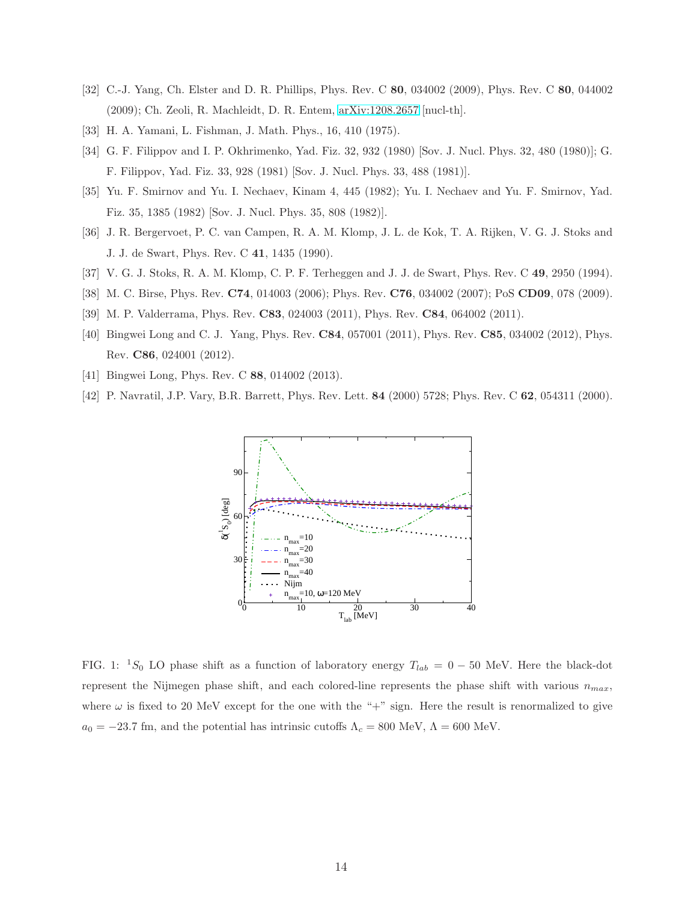- <span id="page-13-0"></span>[32] C.-J. Yang, Ch. Elster and D. R. Phillips, Phys. Rev. C 80, 034002 (2009), Phys. Rev. C 80, 044002 (2009); Ch. Zeoli, R. Machleidt, D. R. Entem, [arXiv:1208.2657](http://arxiv.org/abs/1208.2657) [nucl-th].
- <span id="page-13-3"></span>[33] H. A. Yamani, L. Fishman, J. Math. Phys., 16, 410 (1975).
- <span id="page-13-4"></span>[34] G. F. Filippov and I. P. Okhrimenko, Yad. Fiz. 32, 932 (1980) [Sov. J. Nucl. Phys. 32, 480 (1980)]; G. F. Filippov, Yad. Fiz. 33, 928 (1981) [Sov. J. Nucl. Phys. 33, 488 (1981)].
- <span id="page-13-5"></span>[35] Yu. F. Smirnov and Yu. I. Nechaev, Kinam 4, 445 (1982); Yu. I. Nechaev and Yu. F. Smirnov, Yad. Fiz. 35, 1385 (1982) [Sov. J. Nucl. Phys. 35, 808 (1982)].
- <span id="page-13-6"></span>[36] J. R. Bergervoet, P. C. van Campen, R. A. M. Klomp, J. L. de Kok, T. A. Rijken, V. G. J. Stoks and J. J. de Swart, Phys. Rev. C 41, 1435 (1990).
- <span id="page-13-7"></span>[37] V. G. J. Stoks, R. A. M. Klomp, C. P. F. Terheggen and J. J. de Swart, Phys. Rev. C 49, 2950 (1994).
- <span id="page-13-1"></span>[38] M. C. Birse, Phys. Rev. C74, 014003 (2006); Phys. Rev. C76, 034002 (2007); PoS CD09, 078 (2009).
- [39] M. P. Valderrama, Phys. Rev. C83, 024003 (2011), Phys. Rev. C84, 064002 (2011).
- <span id="page-13-2"></span>[40] Bingwei Long and C. J. Yang, Phys. Rev. C84, 057001 (2011), Phys. Rev. C85, 034002 (2012), Phys. Rev. C86, 024001 (2012).
- <span id="page-13-9"></span>[41] Bingwei Long, Phys. Rev. C 88, 014002 (2013).
- <span id="page-13-10"></span>[42] P. Navratil, J.P. Vary, B.R. Barrett, Phys. Rev. Lett. 84 (2000) 5728; Phys. Rev. C 62, 054311 (2000).



<span id="page-13-8"></span>FIG. 1: <sup>1</sup>S<sub>0</sub> LO phase shift as a function of laboratory energy  $T_{lab} = 0 - 50$  MeV. Here the black-dot represent the Nijmegen phase shift, and each colored-line represents the phase shift with various  $n_{max}$ , where  $\omega$  is fixed to 20 MeV except for the one with the "+" sign. Here the result is renormalized to give  $a_0 = -23.7$  fm, and the potential has intrinsic cutoffs  $\Lambda_c = 800$  MeV,  $\Lambda = 600$  MeV.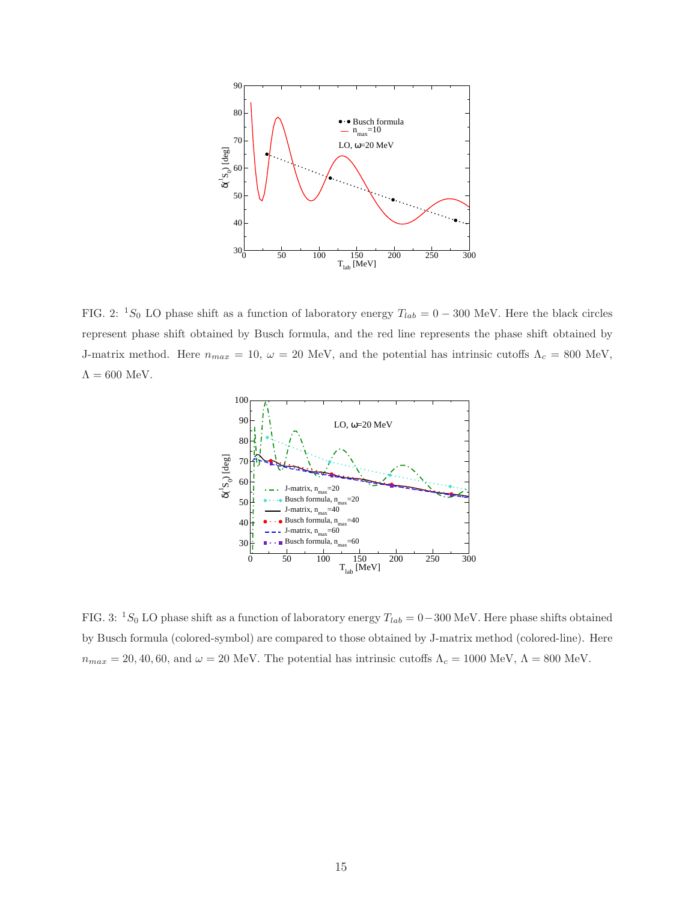

<span id="page-14-0"></span>FIG. 2: <sup>1</sup>S<sub>0</sub> LO phase shift as a function of laboratory energy  $T_{lab} = 0 - 300$  MeV. Here the black circles represent phase shift obtained by Busch formula, and the red line represents the phase shift obtained by J-matrix method. Here  $n_{max} = 10$ ,  $\omega = 20$  MeV, and the potential has intrinsic cutoffs  $\Lambda_c = 800$  MeV,  $\Lambda=600$  MeV.



<span id="page-14-1"></span>FIG. 3: <sup>1</sup>S<sub>0</sub> LO phase shift as a function of laboratory energy  $T_{lab} = 0-300$  MeV. Here phase shifts obtained by Busch formula (colored-symbol) are compared to those obtained by J-matrix method (colored-line). Here  $n_{max} = 20, 40, 60, \text{ and } \omega = 20 \text{ MeV}$ . The potential has intrinsic cutoffs  $\Lambda_c = 1000 \text{ MeV}$ ,  $\Lambda = 800 \text{ MeV}$ .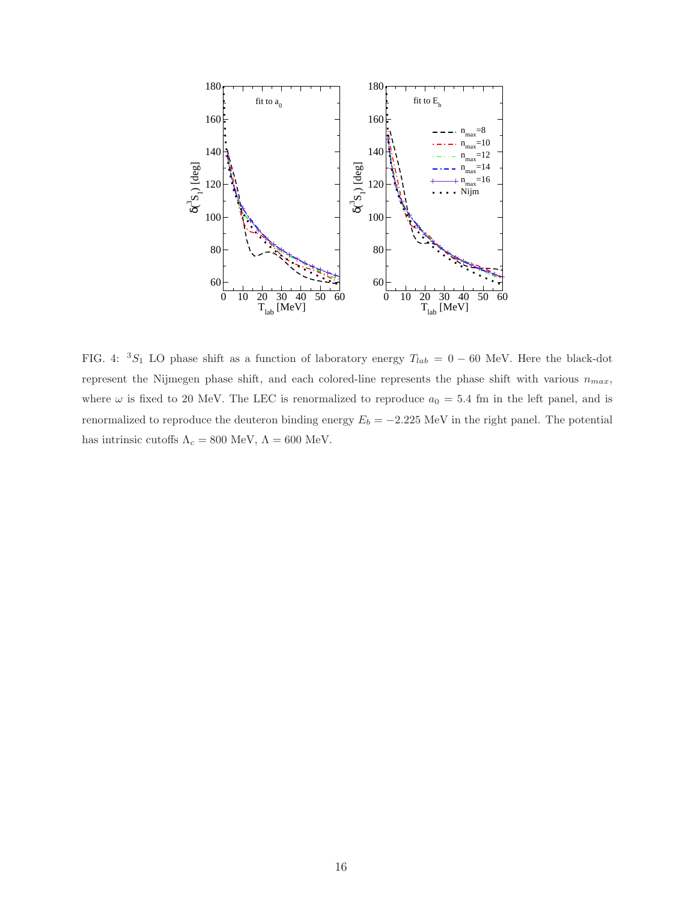

<span id="page-15-0"></span>FIG. 4:  ${}^{3}S_{1}$  LO phase shift as a function of laboratory energy  $T_{lab} = 0 - 60$  MeV. Here the black-dot represent the Nijmegen phase shift, and each colored-line represents the phase shift with various  $n_{max}$ , where  $\omega$  is fixed to 20 MeV. The LEC is renormalized to reproduce  $a_0 = 5.4$  fm in the left panel, and is renormalized to reproduce the deuteron binding energy  $E_b = -2.225$  MeV in the right panel. The potential has intrinsic cutoffs  $\Lambda_c=800$  MeV,  $\Lambda=600$  MeV.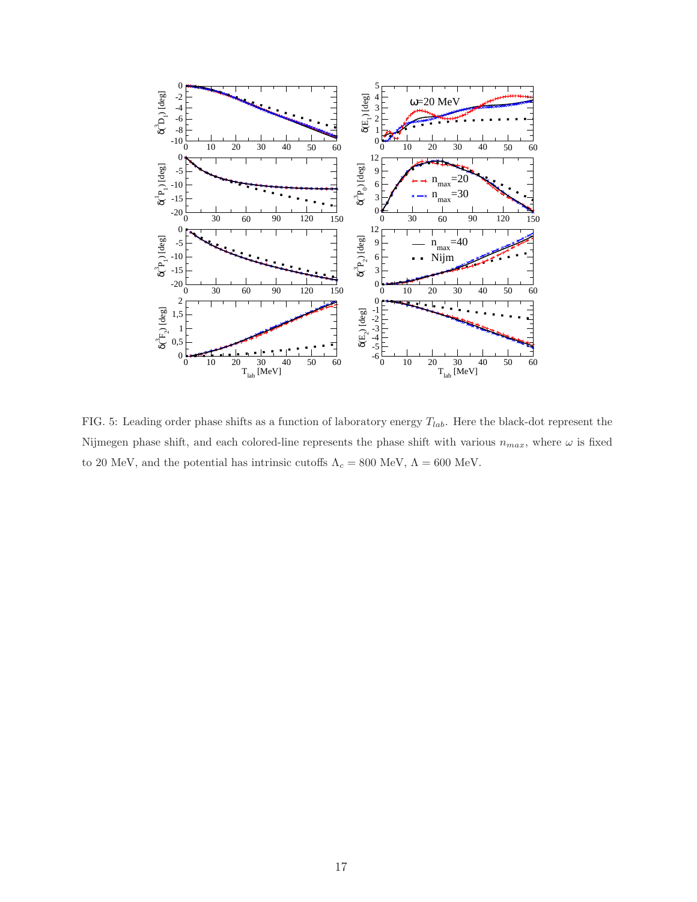

<span id="page-16-0"></span>FIG. 5: Leading order phase shifts as a function of laboratory energy  $T_{lab}$ . Here the black-dot represent the Nijmegen phase shift, and each colored-line represents the phase shift with various  $n_{max}$ , where  $\omega$  is fixed to 20 MeV, and the potential has intrinsic cutoffs  $\Lambda_c=800$  MeV,  $\Lambda=600$  MeV.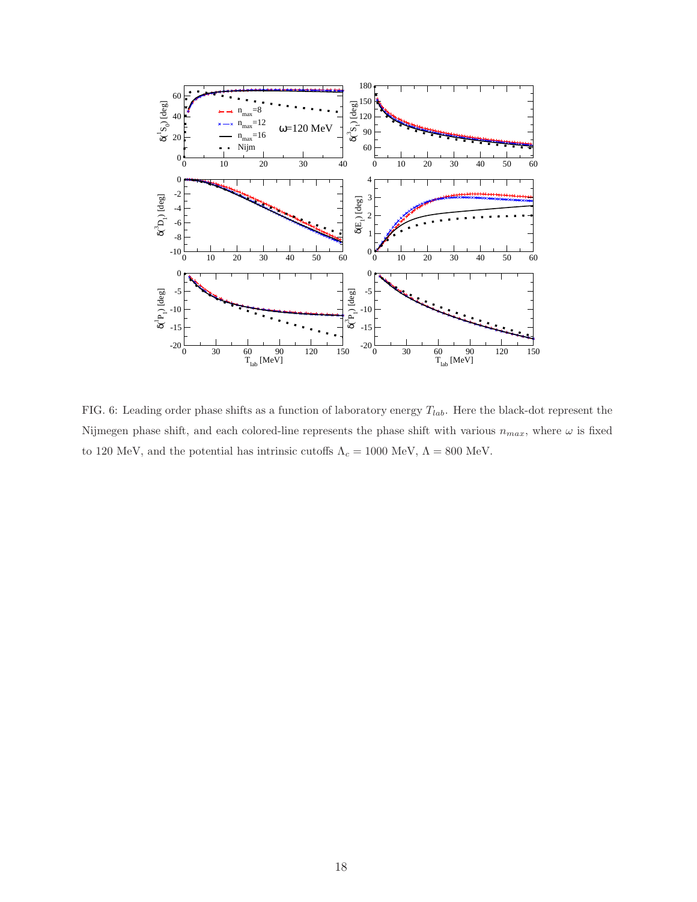

<span id="page-17-0"></span>FIG. 6: Leading order phase shifts as a function of laboratory energy  $T_{lab}$ . Here the black-dot represent the Nijmegen phase shift, and each colored-line represents the phase shift with various  $n_{max}$ , where  $\omega$  is fixed to 120 MeV, and the potential has intrinsic cutoffs  $\Lambda_c=1000$  MeV,  $\Lambda=800$  MeV.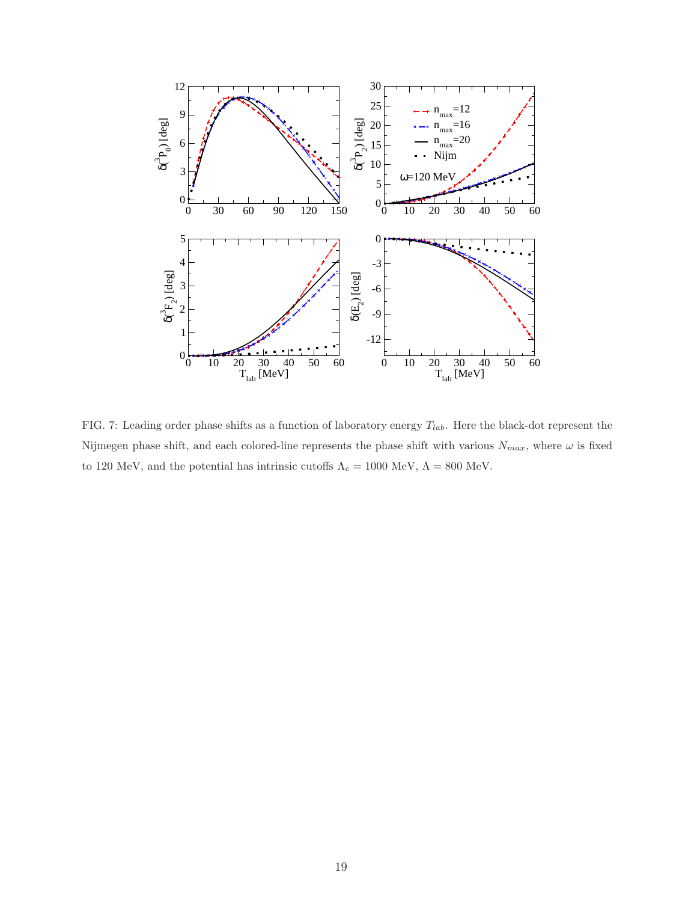

<span id="page-18-0"></span>FIG. 7: Leading order phase shifts as a function of laboratory energy  $T_{lab}$ . Here the black-dot represent the Nijmegen phase shift, and each colored-line represents the phase shift with various  $N_{max}$ , where  $\omega$  is fixed to 120 MeV, and the potential has intrinsic cutoffs  $\Lambda_c=1000$  MeV,  $\Lambda=800$  MeV.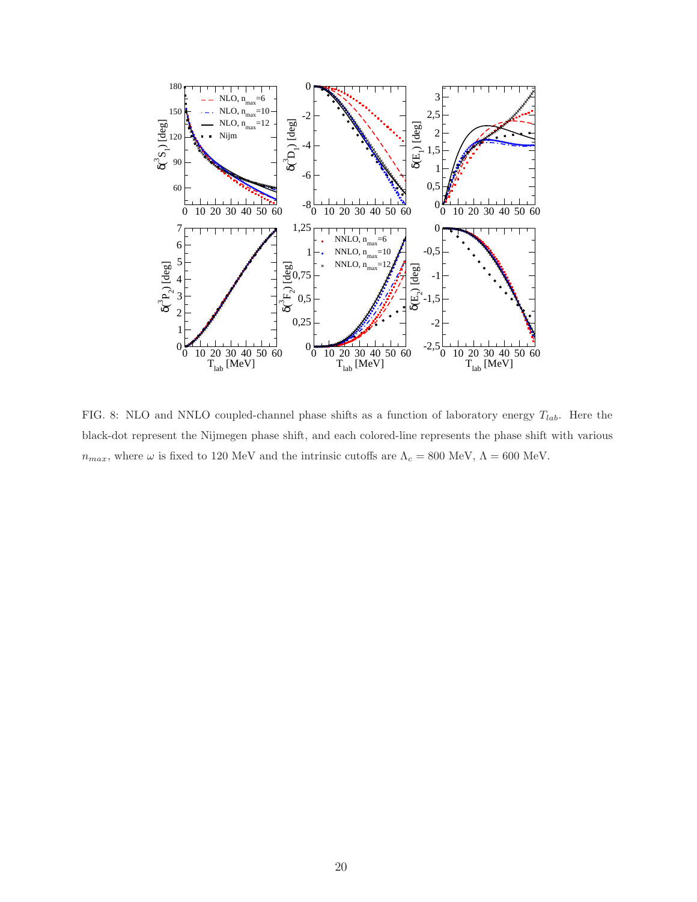

<span id="page-19-0"></span>FIG. 8: NLO and NNLO coupled-channel phase shifts as a function of laboratory energy  $T_{lab}$ . Here the black-dot represent the Nijmegen phase shift, and each colored-line represents the phase shift with various  $n_{max},$  where  $\omega$  is fixed to 120 MeV and the intrinsic cutoffs are  $\Lambda_c=800$  MeV,  $\Lambda=600$  MeV.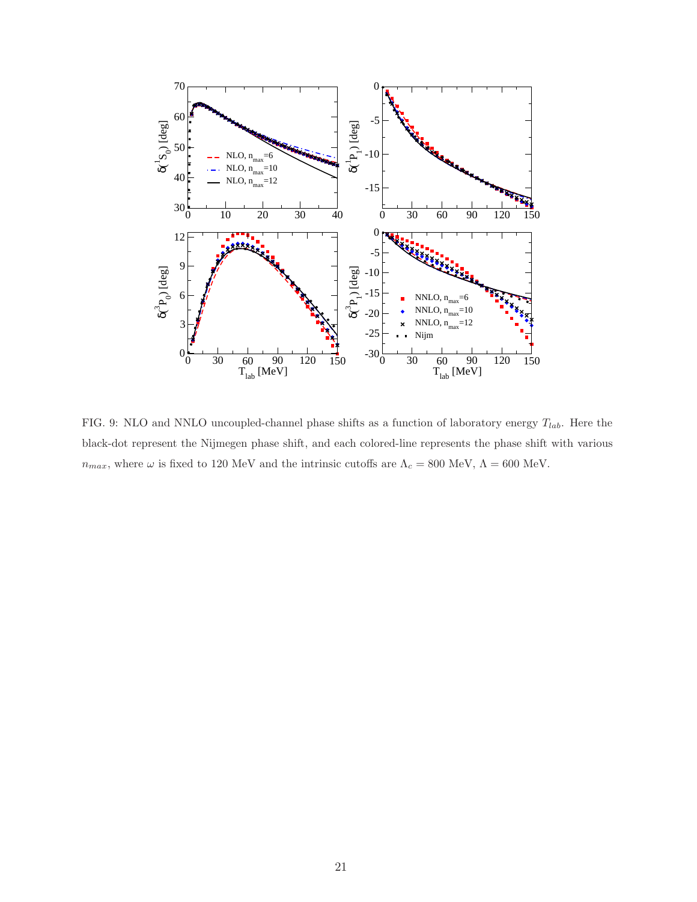

<span id="page-20-0"></span>FIG. 9: NLO and NNLO uncoupled-channel phase shifts as a function of laboratory energy  $T_{lab}$ . Here the black-dot represent the Nijmegen phase shift, and each colored-line represents the phase shift with various  $n_{max},$  where  $\omega$  is fixed to 120 MeV and the intrinsic cutoffs are  $\Lambda_c=800$  MeV,  $\Lambda=600$  MeV.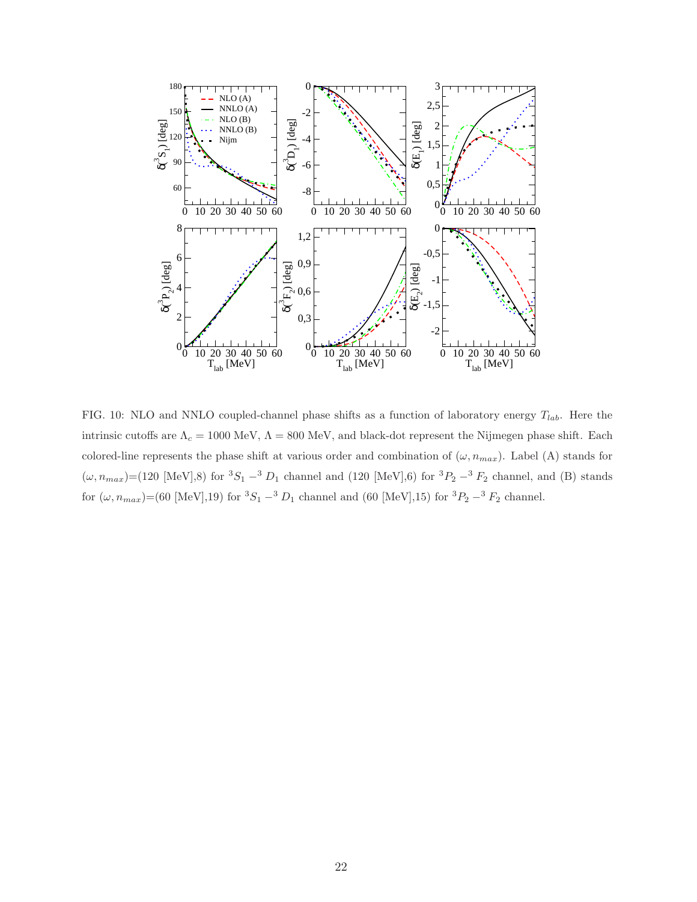

<span id="page-21-0"></span>FIG. 10: NLO and NNLO coupled-channel phase shifts as a function of laboratory energy  $T_{lab}$ . Here the intrinsic cutoffs are  $\Lambda_c = 1000$  MeV,  $\Lambda = 800$  MeV, and black-dot represent the Nijmegen phase shift. Each colored-line represents the phase shift at various order and combination of  $(\omega, n_{max})$ . Label (A) stands for  $(\omega, n_{max})$ =(120 [MeV],8) for  ${}^{3}S_{1}$  –<sup>3</sup>  $D_{1}$  channel and (120 [MeV],6) for  ${}^{3}P_{2}$  –<sup>3</sup>  $F_{2}$  channel, and (B) stands for  $(\omega, n_{max})$ =(60 [MeV],19) for  ${}^{3}S_{1}$  – ${}^{3}D_{1}$  channel and (60 [MeV],15) for  ${}^{3}P_{2}$  – ${}^{3}F_{2}$  channel.